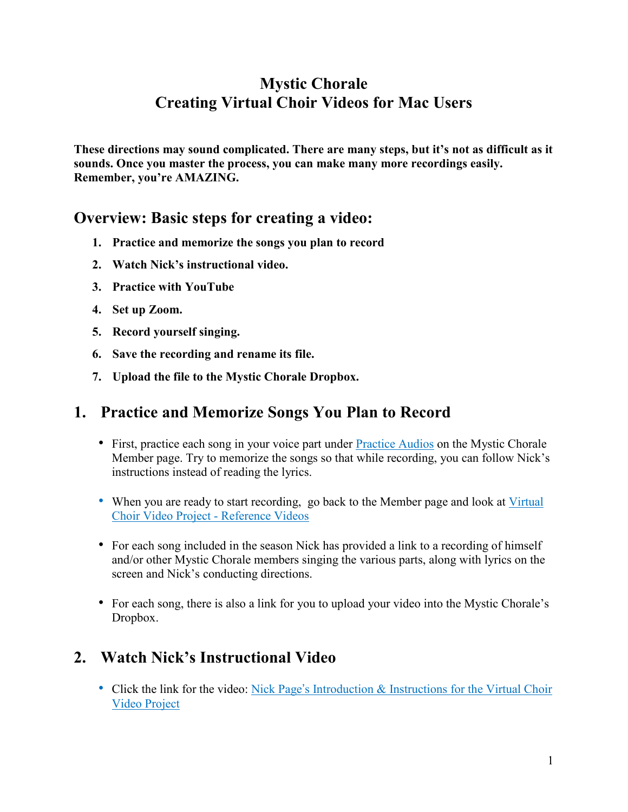## **Mystic Chorale Creating Virtual Choir Videos for Mac Users**

**These directions may sound complicated. There are many steps, but it's not as difficult as it sounds. Once you master the process, you can make many more recordings easily. Remember, you're AMAZING.**

### **Overview: Basic steps for creating a video:**

- **1. Practice and memorize the songs you plan to record**
- **2. Watch Nick's instructional video.**
- **3. Practice with YouTube**
- **4. Set up Zoom.**
- **5. Record yourself singing.**
- **6. Save the recording and rename its file.**
- **7. Upload the file to the Mystic Chorale Dropbox.**

### **1. Practice and Memorize Songs You Plan to Record**

- First, practice each song in your voice part under [Practice](https://mysticchorale.org/my-seasons/#audio) Audios on the Mystic Chorale Member page. Try to memorize the songs so that while recording, you can follow Nick's instructions instead of reading the lyrics.
- When you are ready to start recording, go back to the Member page and look at [Virtual](https://mysticchorale.org/virtual-choir-reference-videos-fall-2020/) Choir Video Project - [Reference](https://mysticchorale.org/virtual-choir-reference-videos-fall-2020/) Videos
- For each song included in the season Nick has provided a link to a recording of himself and/or other Mystic Chorale members singing the various parts, along with lyrics on the screen and Nick's conducting directions.
- For each song, there is also a link for you to upload your video into the Mystic Chorale's Dropbox.

# **2. Watch Nick's Instructional Video**

• Click the link for the video: Nick Page's [Introduction](https://youtu.be/Xb36QDuZtJg) & Instructions for the Virtual Choir Video [Project](https://youtu.be/Xb36QDuZtJg)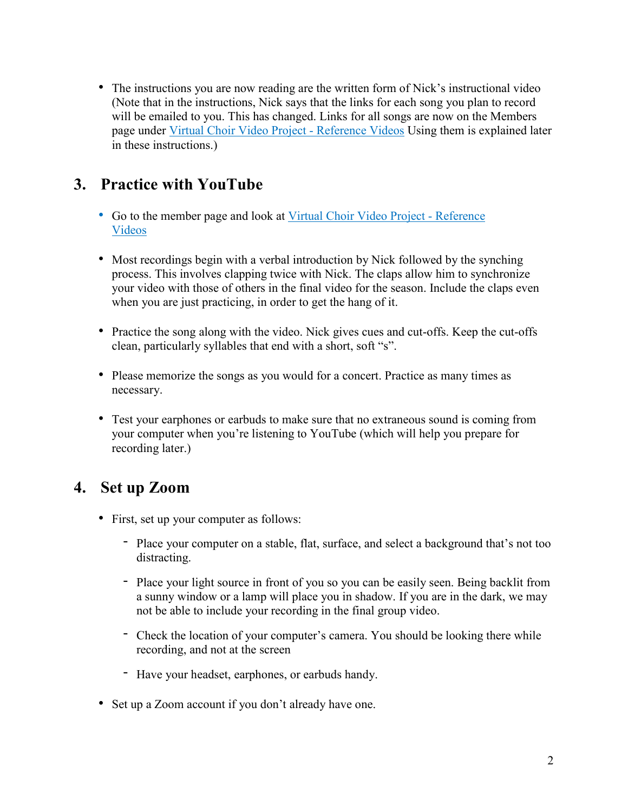• The instructions you are now reading are the written form of Nick's instructional video (Note that in the instructions, Nick says that the links for each song you plan to record will be emailed to you. This has changed. Links for all songs are now on the Members page under Virtual Choir Video Project - [Reference](https://mysticchorale.org/virtual-choir-reference-videos-fall-2020/) Videos Using them is explained later in these instructions.)

## **3. Practice with YouTube**

- Go to the member page and look at Virtual Choir Video Project [Reference](https://mysticchorale.org/virtual-choir-reference-videos-fall-2020/) [Videos](https://mysticchorale.org/virtual-choir-reference-videos-fall-2020/)
- Most recordings begin with a verbal introduction by Nick followed by the synching process. This involves clapping twice with Nick. The claps allow him to synchronize your video with those of others in the final video for the season. Include the claps even when you are just practicing, in order to get the hang of it.
- Practice the song along with the video. Nick gives cues and cut-offs. Keep the cut-offs clean, particularly syllables that end with a short, soft "s".
- Please memorize the songs as you would for a concert. Practice as many times as necessary.
- Test your earphones or earbuds to make sure that no extraneous sound is coming from your computer when you're listening to YouTube (which will help you prepare for recording later.)

## **4. Set up Zoom**

- First, set up your computer as follows:
	- Place your computer on a stable, flat, surface, and select a background that's not too distracting.
	- Place your light source in front of you so you can be easily seen. Being backlit from a sunny window or a lamp will place you in shadow. If you are in the dark, we may not be able to include your recording in the final group video.
	- Check the location of your computer's camera. You should be looking there while recording, and not at the screen
	- Have your headset, earphones, or earbuds handy.
- Set up a Zoom account if you don't already have one.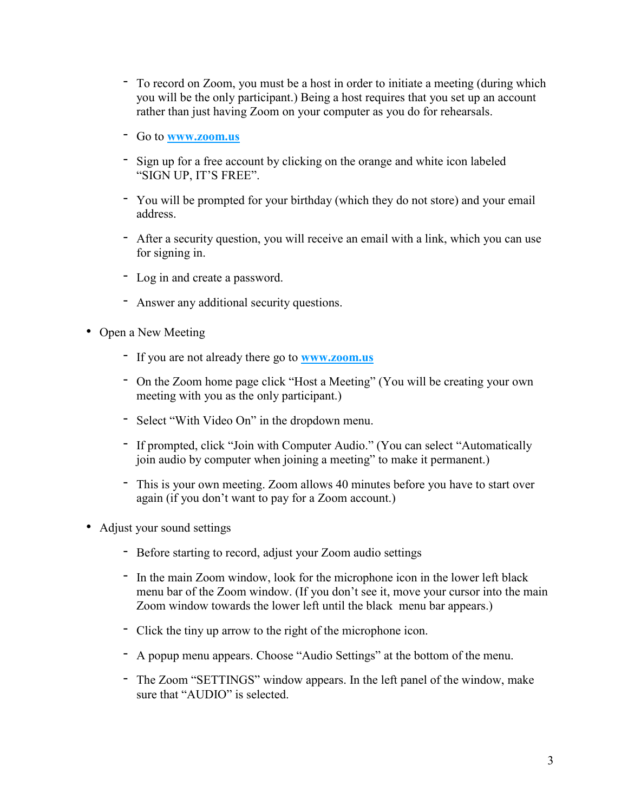- To record on Zoom, you must be a host in order to initiate a meeting (during which you will be the only participant.) Being a host requires that you set up an account rather than just having Zoom on your computer as you do for rehearsals.
- Go to **[www.zoom.us](http://www.zoom.us/)**
- Sign up for a free account by clicking on the orange and white icon labeled "SIGN UP, IT'S FREE".
- You will be prompted for your birthday (which they do not store) and your email address.
- After a security question, you will receive an email with a link, which you can use for signing in.
- Log in and create a password.
- Answer any additional security questions.
- Open a New Meeting
	- If you are not already there go to **[www.zoom.us](http://www.zoom.us/)**
	- On the Zoom home page click "Host a Meeting" (You will be creating your own meeting with you as the only participant.)
	- Select "With Video On" in the dropdown menu.
	- If prompted, click "Join with Computer Audio." (You can select "Automatically join audio by computer when joining a meeting" to make it permanent.)
	- This is your own meeting. Zoom allows 40 minutes before you have to start over again (if you don't want to pay for a Zoom account.)
- Adjust your sound settings
	- Before starting to record, adjust your Zoom audio settings
	- In the main Zoom window, look for the microphone icon in the lower left black menu bar of the Zoom window. (If you don't see it, move your cursor into the main Zoom window towards the lower left until the black menu bar appears.)
	- Click the tiny up arrow to the right of the microphone icon.
	- A popup menu appears. Choose "Audio Settings" at the bottom of the menu.
	- The Zoom "SETTINGS" window appears. In the left panel of the window, make sure that "AUDIO" is selected.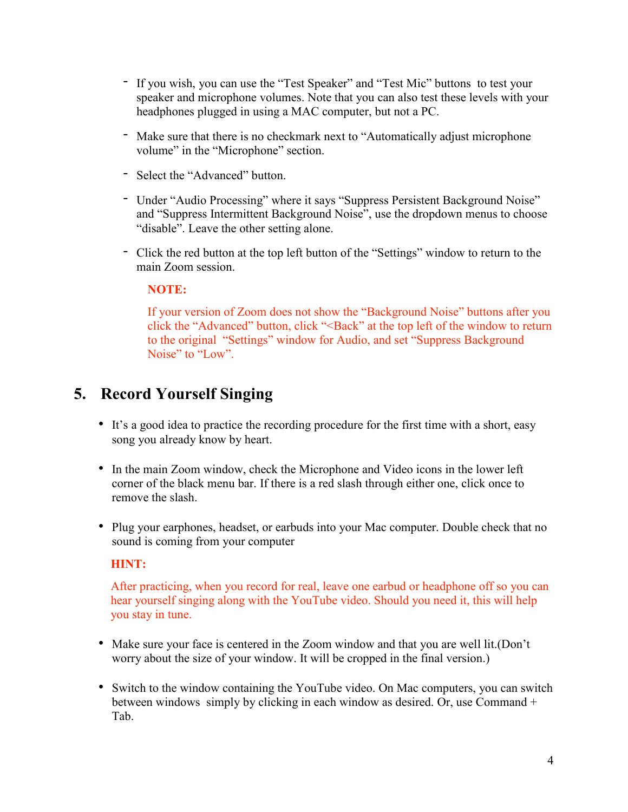- If you wish, you can use the "Test Speaker" and "Test Mic" buttons to test your speaker and microphone volumes. Note that you can also test these levels with your headphones plugged in using a MAC computer, but not a PC.
- Make sure that there is no checkmark next to "Automatically adjust microphone volume" in the "Microphone" section.
- Select the "Advanced" button.
- Under "Audio Processing" where it says "Suppress Persistent Background Noise" and "Suppress Intermittent Background Noise", use the dropdown menus to choose "disable". Leave the other setting alone.
- Click the red button at the top left button of the "Settings" window to return to the main Zoom session.

#### **NOTE:**

If your version of Zoom does not show the "Background Noise" buttons after you click the "Advanced" button, click "<Back" at the top left of the window to return to the original "Settings" window for Audio, and set "Suppress Background Noise" to "Low".

### **5. Record Yourself Singing**

- It's a good idea to practice the recording procedure for the first time with a short, easy song you already know by heart.
- In the main Zoom window, check the Microphone and Video icons in the lower left corner of the black menu bar. If there is a red slash through either one, click once to remove the slash.
- Plug your earphones, headset, or earbuds into your Mac computer. Double check that no sound is coming from your computer

#### **HINT:**

After practicing, when you record for real, leave one earbud or headphone off so you can hear yourself singing along with the YouTube video. Should you need it, this will help you stay in tune.

- Make sure your face is centered in the Zoom window and that you are well lit.(Don't worry about the size of your window. It will be cropped in the final version.)
- Switch to the window containing the YouTube video. On Mac computers, you can switch between windows simply by clicking in each window as desired. Or, use Command + Tab.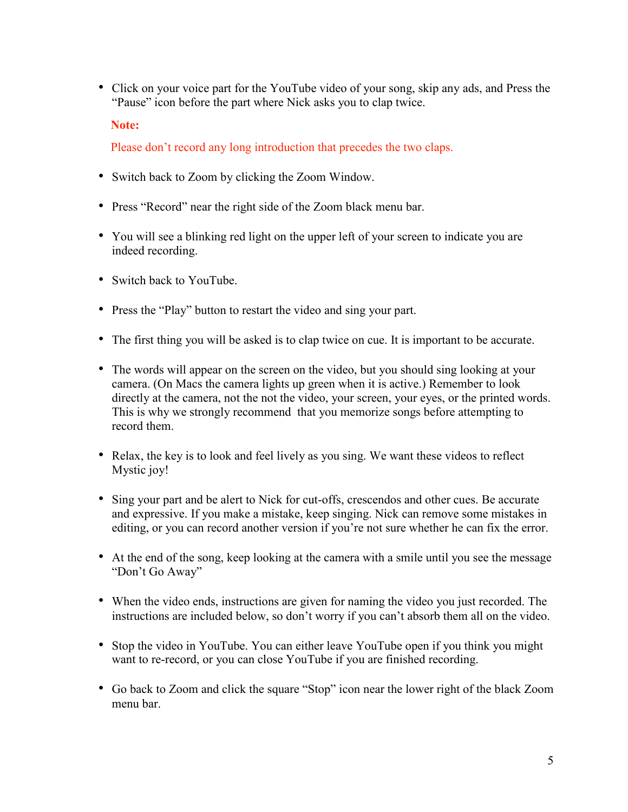• Click on your voice part for the YouTube video of your song, skip any ads, and Press the "Pause" icon before the part where Nick asks you to clap twice.

**Note:**

Please don't record any long introduction that precedes the two claps.

- Switch back to Zoom by clicking the Zoom Window.
- Press "Record" near the right side of the Zoom black menu bar.
- You will see a blinking red light on the upper left of your screen to indicate you are indeed recording.
- Switch back to YouTube.
- Press the "Play" button to restart the video and sing your part.
- The first thing you will be asked is to clap twice on cue. It is important to be accurate.
- The words will appear on the screen on the video, but you should sing looking at your camera. (On Macs the camera lights up green when it is active.) Remember to look directly at the camera, not the not the video, your screen, your eyes, or the printed words. This is why we strongly recommend that you memorize songs before attempting to record them.
- Relax, the key is to look and feel lively as you sing. We want these videos to reflect Mystic joy!
- Sing your part and be alert to Nick for cut-offs, crescendos and other cues. Be accurate and expressive. If you make a mistake, keep singing. Nick can remove some mistakes in editing, or you can record another version if you're not sure whether he can fix the error.
- At the end of the song, keep looking at the camera with a smile until you see the message "Don't Go Away"
- When the video ends, instructions are given for naming the video you just recorded. The instructions are included below, so don't worry if you can't absorb them all on the video.
- Stop the video in YouTube. You can either leave YouTube open if you think you might want to re-record, or you can close YouTube if you are finished recording.
- Go back to Zoom and click the square "Stop" icon near the lower right of the black Zoom menu bar.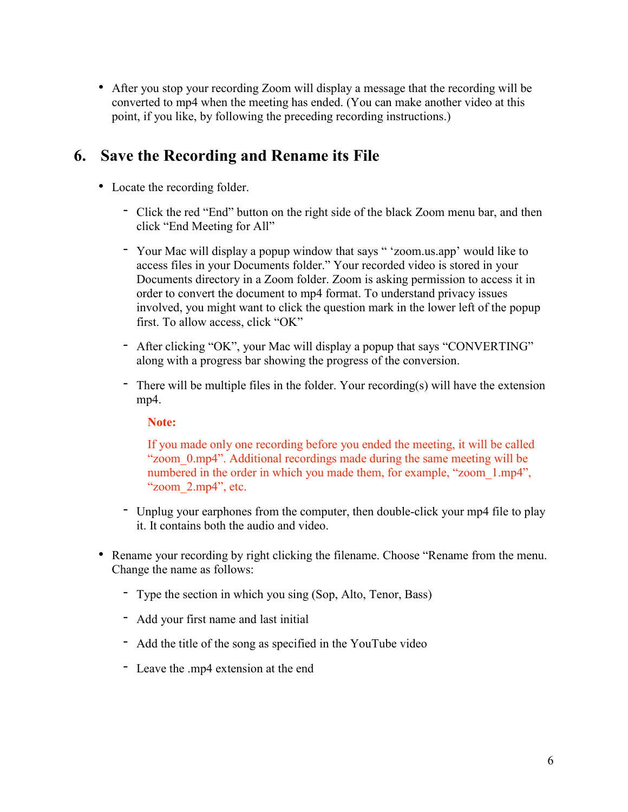• After you stop your recording Zoom will display a message that the recording will be converted to mp4 when the meeting has ended. (You can make another video at this point, if you like, by following the preceding recording instructions.)

### **6. Save the Recording and Rename its File**

- Locate the recording folder.
	- Click the red "End" button on the right side of the black Zoom menu bar, and then click "End Meeting for All"
	- Your Mac will display a popup window that says " 'zoom.us.app' would like to access files in your Documents folder." Your recorded video is stored in your Documents directory in a Zoom folder. Zoom is asking permission to access it in order to convert the document to mp4 format. To understand privacy issues involved, you might want to click the question mark in the lower left of the popup first. To allow access, click "OK"
	- After clicking "OK", your Mac will display a popup that says "CONVERTING" along with a progress bar showing the progress of the conversion.
	- There will be multiple files in the folder. Your recording(s) will have the extension mp4.

#### **Note:**

If you made only one recording before you ended the meeting, it will be called "zoom 0.mp4". Additional recordings made during the same meeting will be numbered in the order in which you made them, for example, "zoom 1.mp4", "zoom\_2.mp4", etc.

- Unplug your earphones from the computer, then double-click your mp4 file to play it. It contains both the audio and video.
- Rename your recording by right clicking the filename. Choose "Rename from the menu. Change the name as follows:
	- Type the section in which you sing (Sop, Alto, Tenor, Bass)
	- Add your first name and last initial
	- Add the title of the song as specified in the YouTube video
	- Leave the .mp4 extension at the end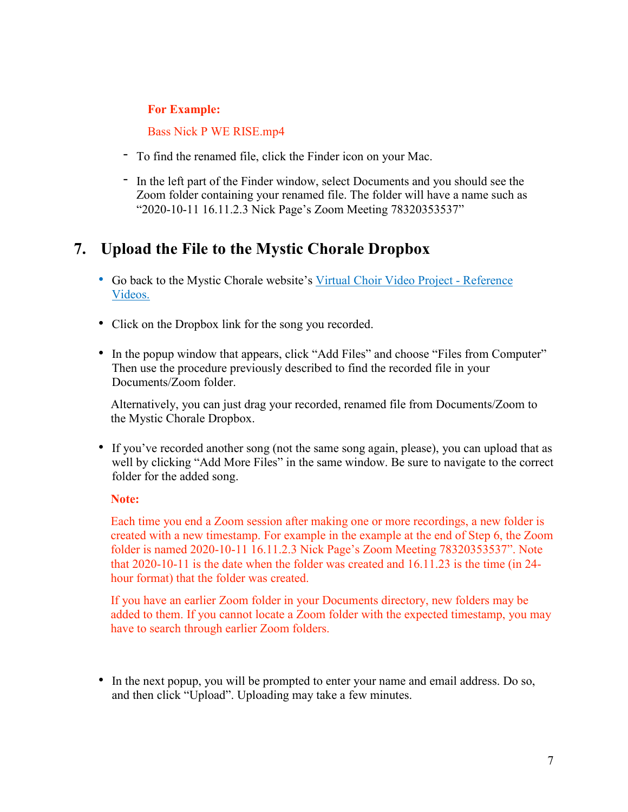#### **For Example:**

Bass Nick P WE RISE.mp4

- To find the renamed file, click the Finder icon on your Mac.
- In the left part of the Finder window, select Documents and you should see the Zoom folder containing your renamed file. The folder will have a name such as "2020-10-11 16.11.2.3 Nick Page's Zoom Meeting 78320353537"

### **7. Upload the File to the Mystic Chorale Dropbox**

- Go back to the Mystic Chorale website's Virtual Choir Video Project [Reference](https://mysticchorale.org/virtual-choir-reference-videos-fall-2020/) [Videos.](https://mysticchorale.org/virtual-choir-reference-videos-fall-2020/)
- Click on the Dropbox link for the song you recorded.
- In the popup window that appears, click "Add Files" and choose "Files from Computer" Then use the procedure previously described to find the recorded file in your Documents/Zoom folder.

Alternatively, you can just drag your recorded, renamed file from Documents/Zoom to the Mystic Chorale Dropbox.

• If you've recorded another song (not the same song again, please), you can upload that as well by clicking "Add More Files" in the same window. Be sure to navigate to the correct folder for the added song.

#### **Note:**

Each time you end a Zoom session after making one or more recordings, a new folder is created with a new timestamp. For example in the example at the end of Step 6, the Zoom folder is named 2020-10-11 16.11.2.3 Nick Page's Zoom Meeting 78320353537". Note that 2020-10-11 is the date when the folder was created and 16.11.23 is the time (in 24 hour format) that the folder was created.

If you have an earlier Zoom folder in your Documents directory, new folders may be added to them. If you cannot locate a Zoom folder with the expected timestamp, you may have to search through earlier Zoom folders.

• In the next popup, you will be prompted to enter your name and email address. Do so, and then click "Upload". Uploading may take a few minutes.